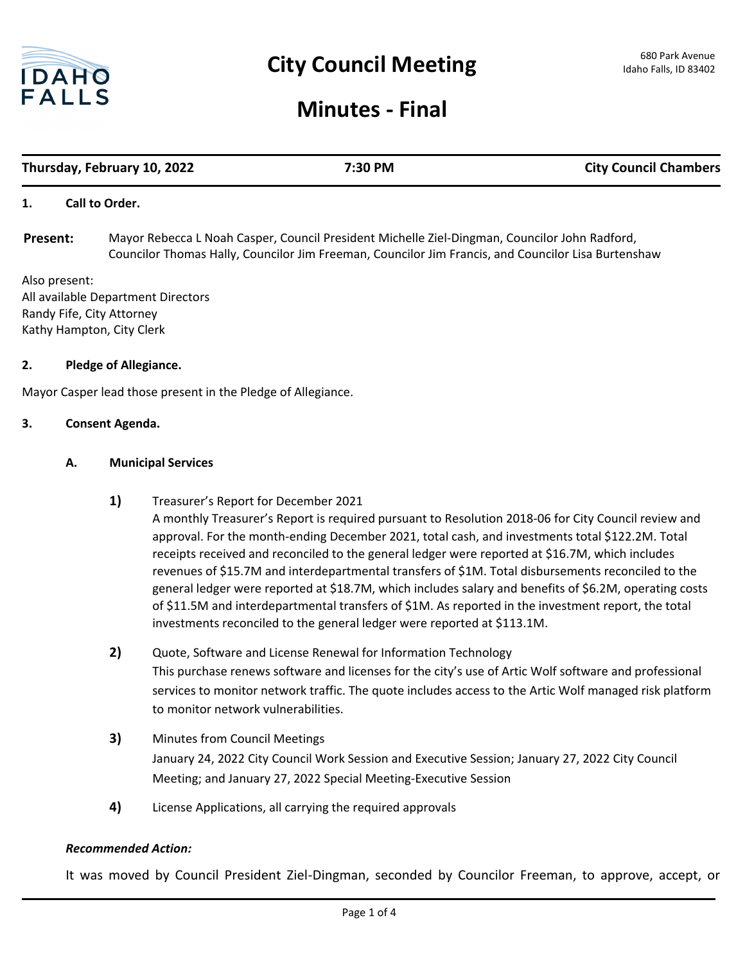

## **Minutes - Final**

# **Thursday, February 10, 2022 7:30 PM City Council Chambers**

#### **1. Call to Order.**

Mayor Rebecca L Noah Casper, Council President Michelle Ziel-Dingman, Councilor John Radford, Councilor Thomas Hally, Councilor Jim Freeman, Councilor Jim Francis, and Councilor Lisa Burtenshaw **Present:**

Also present: All available Department Directors Randy Fife, City Attorney Kathy Hampton, City Clerk

#### **2. Pledge of Allegiance.**

Mayor Casper lead those present in the Pledge of Allegiance.

#### **3. Consent Agenda.**

#### **A. Municipal Services**

- **1)** Treasurer's Report for December 2021 A monthly Treasurer's Report is required pursuant to Resolution 2018-06 for City Council review and approval. For the month-ending December 2021, total cash, and investments total \$122.2M. Total receipts received and reconciled to the general ledger were reported at \$16.7M, which includes revenues of \$15.7M and interdepartmental transfers of \$1M. Total disbursements reconciled to the general ledger were reported at \$18.7M, which includes salary and benefits of \$6.2M, operating costs of \$11.5M and interdepartmental transfers of \$1M. As reported in the investment report, the total investments reconciled to the general ledger were reported at \$113.1M.
- **2)** Quote, Software and License Renewal for Information Technology This purchase renews software and licenses for the city's use of Artic Wolf software and professional services to monitor network traffic. The quote includes access to the Artic Wolf managed risk platform to monitor network vulnerabilities.
- **3)** Minutes from Council Meetings January 24, 2022 City Council Work Session and Executive Session; January 27, 2022 City Council Meeting; and January 27, 2022 Special Meeting-Executive Session
- **4)** License Applications, all carrying the required approvals

### *Recommended Action:*

It was moved by Council President Ziel-Dingman, seconded by Councilor Freeman, to approve, accept, or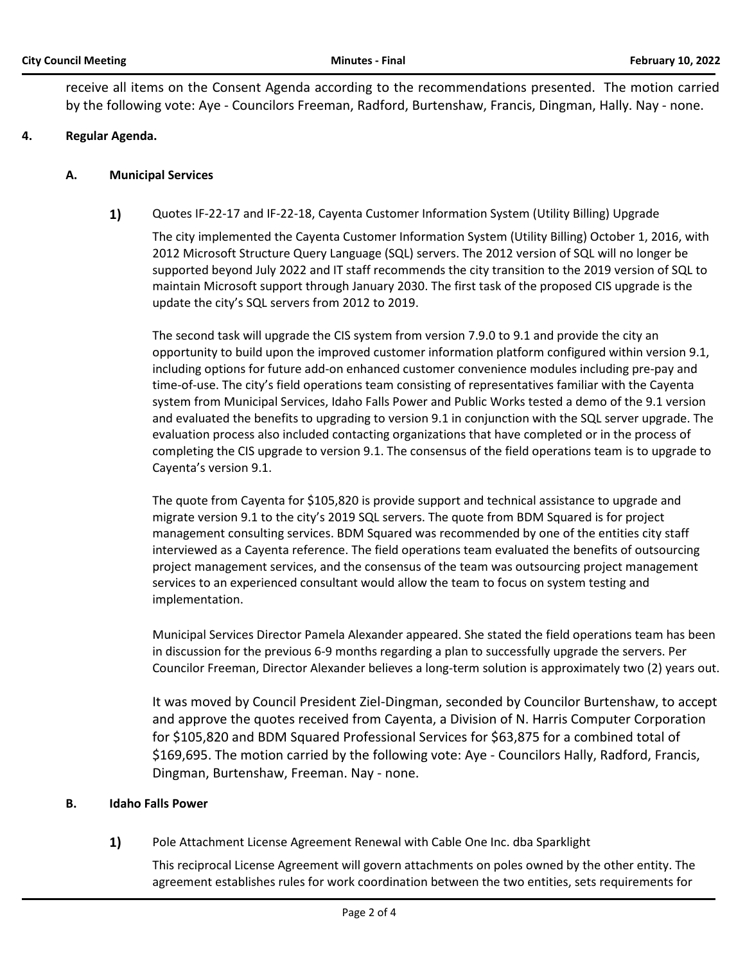receive all items on the Consent Agenda according to the recommendations presented. The motion carried by the following vote: Aye - Councilors Freeman, Radford, Burtenshaw, Francis, Dingman, Hally. Nay - none.

#### **4. Regular Agenda.**

#### **A. Municipal Services**

**1)** Quotes IF-22-17 and IF-22-18, Cayenta Customer Information System (Utility Billing) Upgrade

The city implemented the Cayenta Customer Information System (Utility Billing) October 1, 2016, with 2012 Microsoft Structure Query Language (SQL) servers. The 2012 version of SQL will no longer be supported beyond July 2022 and IT staff recommends the city transition to the 2019 version of SQL to maintain Microsoft support through January 2030. The first task of the proposed CIS upgrade is the update the city's SQL servers from 2012 to 2019.

The second task will upgrade the CIS system from version 7.9.0 to 9.1 and provide the city an opportunity to build upon the improved customer information platform configured within version 9.1, including options for future add-on enhanced customer convenience modules including pre-pay and time-of-use. The city's field operations team consisting of representatives familiar with the Cayenta system from Municipal Services, Idaho Falls Power and Public Works tested a demo of the 9.1 version and evaluated the benefits to upgrading to version 9.1 in conjunction with the SQL server upgrade. The evaluation process also included contacting organizations that have completed or in the process of completing the CIS upgrade to version 9.1. The consensus of the field operations team is to upgrade to Cayenta's version 9.1.

The quote from Cayenta for \$105,820 is provide support and technical assistance to upgrade and migrate version 9.1 to the city's 2019 SQL servers. The quote from BDM Squared is for project management consulting services. BDM Squared was recommended by one of the entities city staff interviewed as a Cayenta reference. The field operations team evaluated the benefits of outsourcing project management services, and the consensus of the team was outsourcing project management services to an experienced consultant would allow the team to focus on system testing and implementation.

Municipal Services Director Pamela Alexander appeared. She stated the field operations team has been in discussion for the previous 6-9 months regarding a plan to successfully upgrade the servers. Per Councilor Freeman, Director Alexander believes a long-term solution is approximately two (2) years out.

It was moved by Council President Ziel-Dingman, seconded by Councilor Burtenshaw, to accept and approve the quotes received from Cayenta, a Division of N. Harris Computer Corporation for \$105,820 and BDM Squared Professional Services for \$63,875 for a combined total of \$169,695. The motion carried by the following vote: Aye - Councilors Hally, Radford, Francis, Dingman, Burtenshaw, Freeman. Nay - none.

#### **B. Idaho Falls Power**

**1)** Pole Attachment License Agreement Renewal with Cable One Inc. dba Sparklight

This reciprocal License Agreement will govern attachments on poles owned by the other entity. The agreement establishes rules for work coordination between the two entities, sets requirements for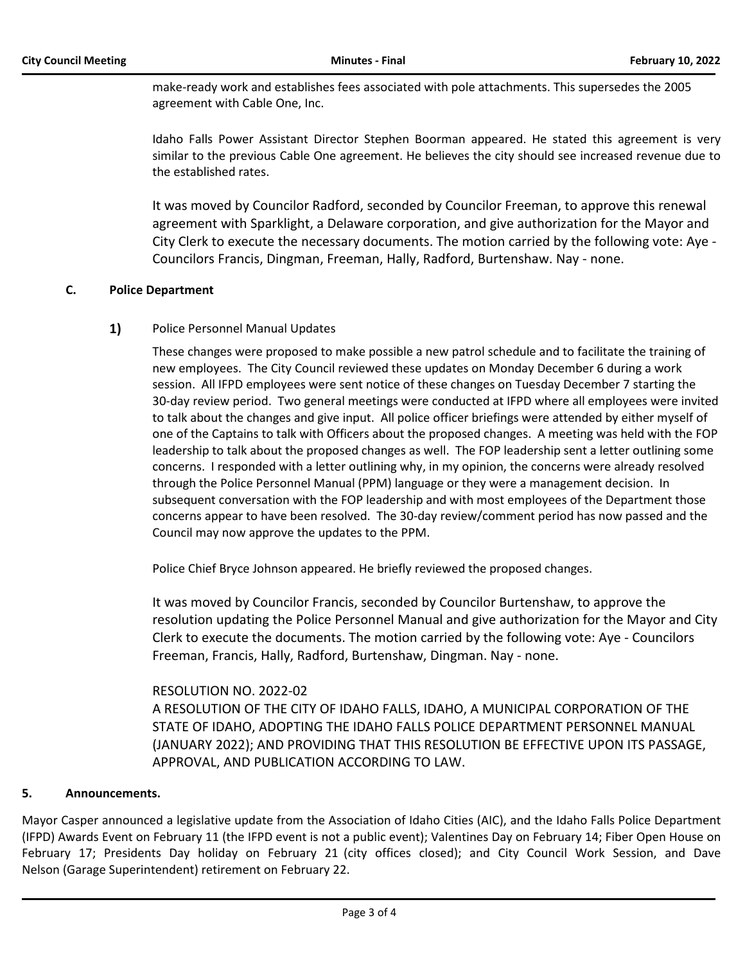make-ready work and establishes fees associated with pole attachments. This supersedes the 2005 agreement with Cable One, Inc.

Idaho Falls Power Assistant Director Stephen Boorman appeared. He stated this agreement is very similar to the previous Cable One agreement. He believes the city should see increased revenue due to the established rates.

It was moved by Councilor Radford, seconded by Councilor Freeman, to approve this renewal agreement with Sparklight, a Delaware corporation, and give authorization for the Mayor and City Clerk to execute the necessary documents. The motion carried by the following vote: Aye - Councilors Francis, Dingman, Freeman, Hally, Radford, Burtenshaw. Nay - none.

#### **C. Police Department**

#### **1)** Police Personnel Manual Updates

These changes were proposed to make possible a new patrol schedule and to facilitate the training of new employees. The City Council reviewed these updates on Monday December 6 during a work session. All IFPD employees were sent notice of these changes on Tuesday December 7 starting the 30-day review period. Two general meetings were conducted at IFPD where all employees were invited to talk about the changes and give input. All police officer briefings were attended by either myself of one of the Captains to talk with Officers about the proposed changes. A meeting was held with the FOP leadership to talk about the proposed changes as well. The FOP leadership sent a letter outlining some concerns. I responded with a letter outlining why, in my opinion, the concerns were already resolved through the Police Personnel Manual (PPM) language or they were a management decision. In subsequent conversation with the FOP leadership and with most employees of the Department those concerns appear to have been resolved. The 30-day review/comment period has now passed and the Council may now approve the updates to the PPM.

Police Chief Bryce Johnson appeared. He briefly reviewed the proposed changes.

It was moved by Councilor Francis, seconded by Councilor Burtenshaw, to approve the resolution updating the Police Personnel Manual and give authorization for the Mayor and City Clerk to execute the documents. The motion carried by the following vote: Aye - Councilors Freeman, Francis, Hally, Radford, Burtenshaw, Dingman. Nay - none.

#### RESOLUTION NO. 2022-02

A RESOLUTION OF THE CITY OF IDAHO FALLS, IDAHO, A MUNICIPAL CORPORATION OF THE STATE OF IDAHO, ADOPTING THE IDAHO FALLS POLICE DEPARTMENT PERSONNEL MANUAL (JANUARY 2022); AND PROVIDING THAT THIS RESOLUTION BE EFFECTIVE UPON ITS PASSAGE, APPROVAL, AND PUBLICATION ACCORDING TO LAW.

#### **5. Announcements.**

Mayor Casper announced a legislative update from the Association of Idaho Cities (AIC), and the Idaho Falls Police Department (IFPD) Awards Event on February 11 (the IFPD event is not a public event); Valentines Day on February 14; Fiber Open House on February 17; Presidents Day holiday on February 21 (city offices closed); and City Council Work Session, and Dave Nelson (Garage Superintendent) retirement on February 22.